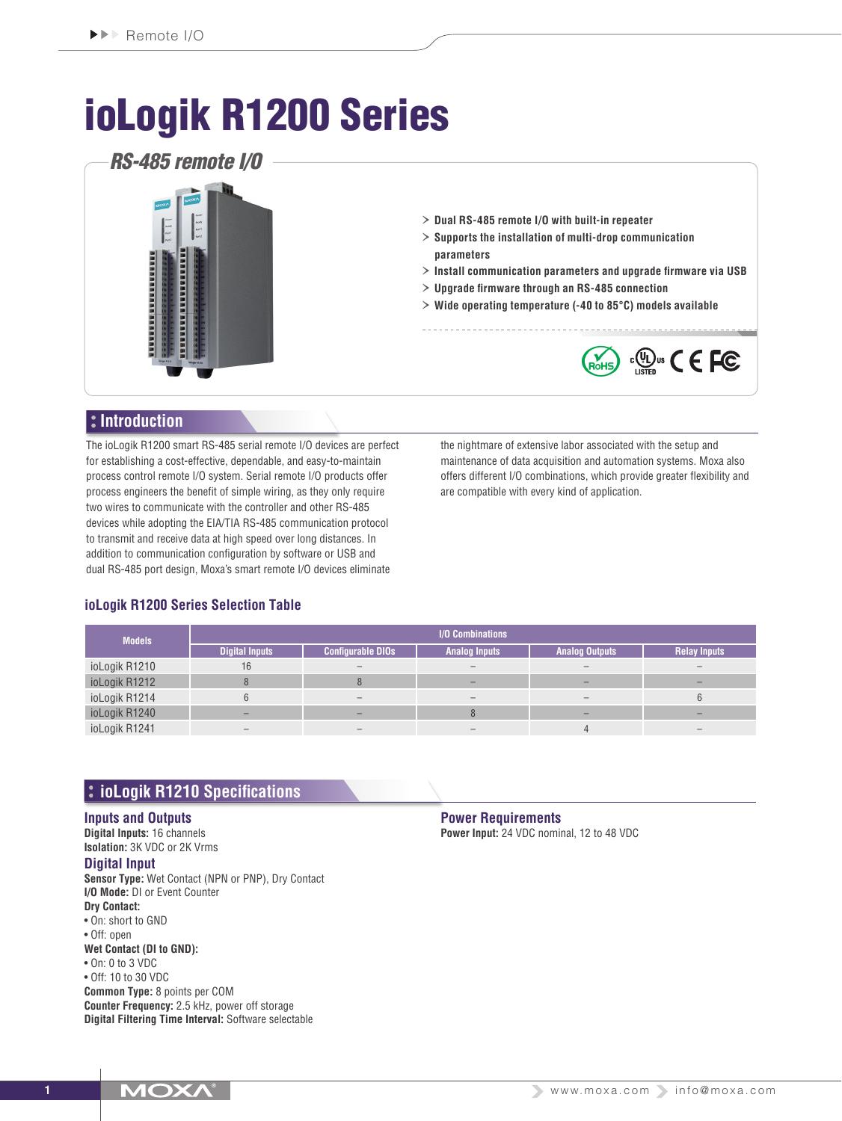# ioLogik R1200 Series

# *RS-485 remote I/O*



- › **Dual RS-485 remote I/O with built-in repeater**
- › **Supports the installation of multi-drop communication parameters**
- › **Install communication parameters and upgrade firmware via USB**
- › **Upgrade firmware through an RS-485 connection**
- › **Wide operating temperature (-40 to 85°C) models available**



# **Introduction**

The ioLogik R1200 smart RS-485 serial remote I/O devices are perfect for establishing a cost-effective, dependable, and easy-to-maintain process control remote I/O system. Serial remote I/O products offer process engineers the benefit of simple wiring, as they only require two wires to communicate with the controller and other RS-485 devices while adopting the EIA/TIA RS-485 communication protocol to transmit and receive data at high speed over long distances. In addition to communication configuration by software or USB and dual RS-485 port design, Moxa's smart remote I/O devices eliminate

the nightmare of extensive labor associated with the setup and maintenance of data acquisition and automation systems. Moxa also offers different I/O combinations, which provide greater flexibility and are compatible with every kind of application.

# **ioLogik R1200 Series Selection Table**

| <b>Models</b> | I/O Combinations      |                          |                      |                       |                     |
|---------------|-----------------------|--------------------------|----------------------|-----------------------|---------------------|
|               | <b>Digital Inputs</b> | <b>Configurable DIOs</b> | <b>Analog Inputs</b> | <b>Analog Outputs</b> | <b>Relay Inputs</b> |
| ioLogik R1210 | 16                    |                          |                      |                       |                     |
| ioLogik R1212 |                       |                          |                      |                       |                     |
| ioLogik R1214 |                       |                          |                      |                       |                     |
| ioLogik R1240 |                       |                          |                      |                       |                     |
| ioLogik R1241 |                       |                          |                      |                       |                     |

# **ioLogik R1210 Specifications**

#### **Inputs and Outputs**

**Digital Inputs:** 16 channels **Isolation:** 3K VDC or 2K Vrms **Digital Input**

**Sensor Type:** Wet Contact (NPN or PNP), Dry Contact **I/O Mode:** DI or Event Counter **Dry Contact:** • On: short to GND • Off: open **Wet Contact (DI to GND):** • On: 0 to 3 VDC • Off: 10 to 30 VDC **Common Type:** 8 points per COM **Counter Frequency:** 2.5 kHz, power off storage **Digital Filtering Time Interval:** Software selectable

**Power Requirements Power Input:** 24 VDC nominal, 12 to 48 VDC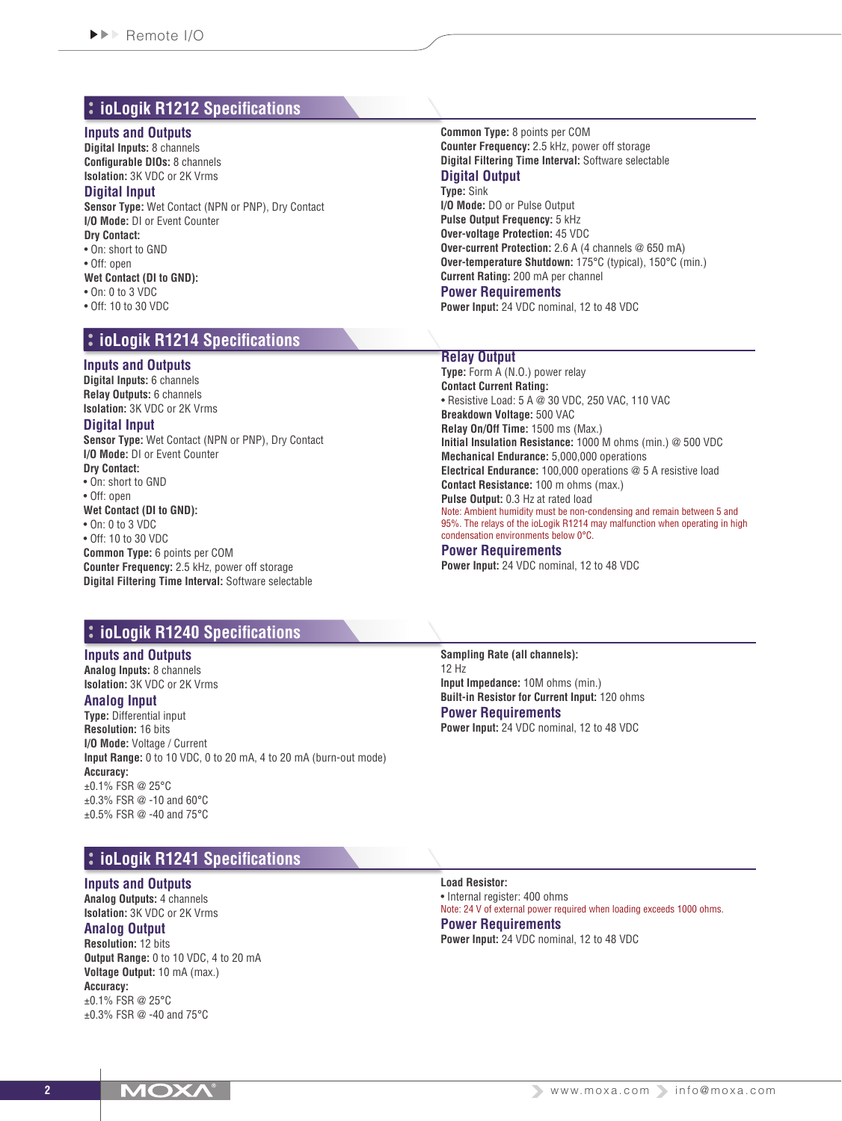# **ioLogik R1212 Specifications**

#### **Inputs and Outputs**

**Digital Inputs:** 8 channels **Configurable DIOs:** 8 channels **Isolation:** 3K VDC or 2K Vrms

#### **Digital Input**

**Sensor Type:** Wet Contact (NPN or PNP), Dry Contact **I/O Mode:** DI or Event Counter

**Dry Contact:** • On: short to GND

• Off: open

- 
- **Wet Contact (DI to GND):** • On: 0 to 3 VDC
- Off: 10 to 30 VDC
- 

# **ioLogik R1214 Specifications**

## **Inputs and Outputs**

**Digital Inputs:** 6 channels **Relay Outputs:** 6 channels **Isolation:** 3K VDC or 2K Vrms

#### **Digital Input**

**Sensor Type:** Wet Contact (NPN or PNP), Dry Contact **I/O Mode:** DI or Event Counter **Dry Contact:**

• On: short to GND

- Off: open
- **Wet Contact (DI to GND):**

• On: 0 to 3 VDC

• Off: 10 to 30 VDC **Common Type:** 6 points per COM **Counter Frequency:** 2.5 kHz, power off storage **Digital Filtering Time Interval:** Software selectable

## **ioLogik R1240 Specifications**

#### **Inputs and Outputs Analog Inputs:** 8 channels

**Isolation:** 3K VDC or 2K Vrms

# **Analog Input**

**Type:** Differential input **Resolution:** 16 bits **I/O Mode:** Voltage / Current **Input Range:** 0 to 10 VDC, 0 to 20 mA, 4 to 20 mA (burn-out mode) **Accuracy:** ±0.1% FSR @ 25°C ±0.3% FSR @ -10 and 60°C ±0.5% FSR @ -40 and 75°C

# **ioLogik R1241 Specifications**

#### **Inputs and Outputs**

**Analog Outputs:** 4 channels **Isolation:** 3K VDC or 2K Vrms

# **Analog Output**

**Resolution:** 12 bits **Output Range:** 0 to 10 VDC, 4 to 20 mA **Voltage Output:** 10 mA (max.) **Accuracy:** ±0.1% FSR @ 25°C ±0.3% FSR @ -40 and 75°C

**Common Type:** 8 points per COM **Counter Frequency:** 2.5 kHz, power off storage **Digital Filtering Time Interval:** Software selectable **Digital Output Type:** Sink

**I/O Mode:** DO or Pulse Output **Pulse Output Frequency:** 5 kHz **Over-voltage Protection:** 45 VDC **Over-current Protection:** 2.6 A (4 channels @ 650 mA) **Over-temperature Shutdown:** 175°C (typical), 150°C (min.) **Current Rating:** 200 mA per channel **Power Requirements**

**Power Input:** 24 VDC nominal, 12 to 48 VDC

# **Relay Output**

**Type:** Form A (N.O.) power relay **Contact Current Rating:** • Resistive Load: 5 A @ 30 VDC, 250 VAC, 110 VAC **Breakdown Voltage:** 500 VAC **Relay On/Off Time:** 1500 ms (Max.) **Initial Insulation Resistance:** 1000 M ohms (min.) @ 500 VDC **Mechanical Endurance:** 5,000,000 operations **Electrical Endurance:** 100,000 operations @ 5 A resistive load **Contact Resistance:** 100 m ohms (max.) **Pulse Output:** 0.3 Hz at rated load Note: Ambient humidity must be non-condensing and remain between 5 and 95%. The relays of the ioLogik R1214 may malfunction when operating in high condensation environments below 0°C.

#### **Power Requirements**

**Power Input:** 24 VDC nominal, 12 to 48 VDC

**Sampling Rate (all channels):** 12 Hz **Input Impedance:** 10M ohms (min.) **Built-in Resistor for Current Input:** 120 ohms **Power Requirements**

**Power Input:** 24 VDC nominal, 12 to 48 VDC

**Load Resistor:** • Internal register: 400 ohms Note: 24 V of external power required when loading exceeds 1000 ohms. **Power Requirements Power Input:** 24 VDC nominal, 12 to 48 VDC